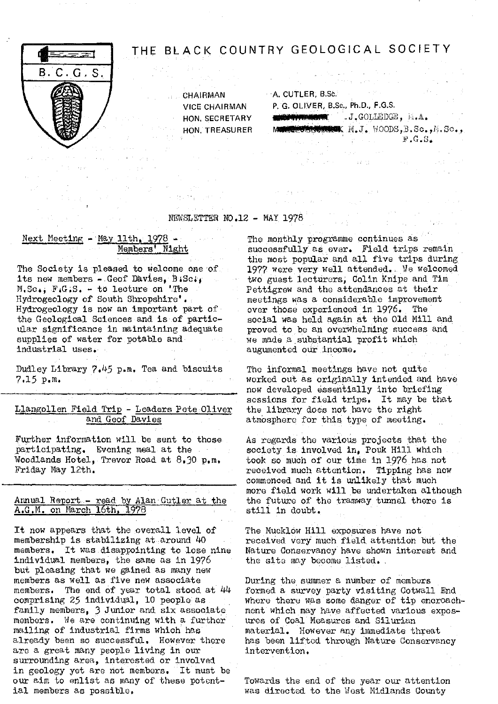

# THE BLACK COUNTRY GEOLOGICAL SOCIETY

出口的 医单位的

**CHAIRMAN • A. CUTLER, B.Sc.** VICE CHAIRMAN P. G. OLIVER, B.Sc., Ph.D., F.G.S. HON, SECRETARY **ENGINEERM** J.J.GOLLEDGE, M.A. HON. TREASURER MARKET SOMER  $M_{\bullet}J_{\bullet}$  Moods, B. So., M. So., J. Para George **Constitution** 

NEWSLETTER NO.12 - MAY 1978

# **Next Meeting - May 11th, 1978 - The monthly programme continues as<br>
<b>Members' Night** Successfully as ever. Field trips r

its new members - Geof Davies, B.Sc;<br>M.Sc., F.G.S. - to lecture on 'The  $M.Sc$ ,  $F.G.S. - to lecture on 'The Hydrogeology of South Shropshirer'. The method of the  $S$  and the  $S$  in the  $S$  and  $S$ .$ Hydrogeology is now an important part of the Geological Sciences and is of particular significance in maintaining adequate proved to be an overwhelming success applies of water for potable and  $\frac{1}{2}$  we made a substantial profit which supplies of water for potable and industrial uses.

Dudley Library 7.45 p.m. Tea and biscuits The informal meetings have not quite 7.15 p. <sup>m</sup>

Llangollen Field Trip - Leaders Pete Oliver and Geof Davies

Further information will be sent to those As regards the various projects that the participating. Evening meal at the society is involved in. Pouk Hill which participating. Evening meal at the society is involved in, Pouk Hill which<br>Woodlands Hotel, Trevor Road at 8,30 p.m. took so much of our time in 1976 has not Woodlands Hotel, Trevor Road at  $8.30$  p.m. took so much of our time in 1976 has not Friday May 12th.  $r$ 

## $\frac{\text{Annual Report}}{\text{A.G.M.}}$  Report. - read by Alan Cutler at the the future of the  $\frac{\text{A.G.M.}}{\text{A.G.M.}}$  on March 16th, 1978 A.G.M. on March 16th, 1978

It now appears that the overall level of membership is stabilizing at around 40 members. It was.disappointing to lose nine individual members, the same as in 1976 but pleasing that we gained as many new members as well as five new associate members. The end of year total stood at 44 comprising 25 individual, 10 people as family members, 3 Junior and six associate members. We are continuing with a further mailing of industrial firms which has already been so successful. However there are a great many people living in our surrounding area, interested or involved in geology yet are not members. It must be our aim to enlist as many of these potential members as possible.

successfully as ever. Field *trips remain* the most popular and all five trips during The Society is pleased to welcome one of 1977 were very well attended. We welcomed its new members - Geof Davies, B:Sc; meetings was a considerable improvement<br>over those experienced in 1976. The social was held again at the Old Mill and<br>proved to be an overwhelming success and augumented our income.

 $\hat{\mathcal{L}}_{\text{max}}$  ,  $\hat{\mathcal{L}}_{\text{max}}$ 

. worked out as originally intended and have now developed essentially into briefing *sessions for field trips. It may be that* atmosphere for this type of meeting.

received much attention. Tipping has now commenced and it is unlikely that much more field work will be undertaken although<br>the future of the tramway tunnel there is

The Mucklow Hill exposures have not recoived vary much field attention but the Nature Conservancy have shown interest and the site may become listed.

During the summer a number of members formed a survey party visiting Cotwall End where there was some danger of tip encroachment which may have affected various exposures of Coal Measures and Silurian material. However any immediate threat has been liftod through Nature Conservancy intervention.

Towards the end of the year our attention was directed to the West Midlands County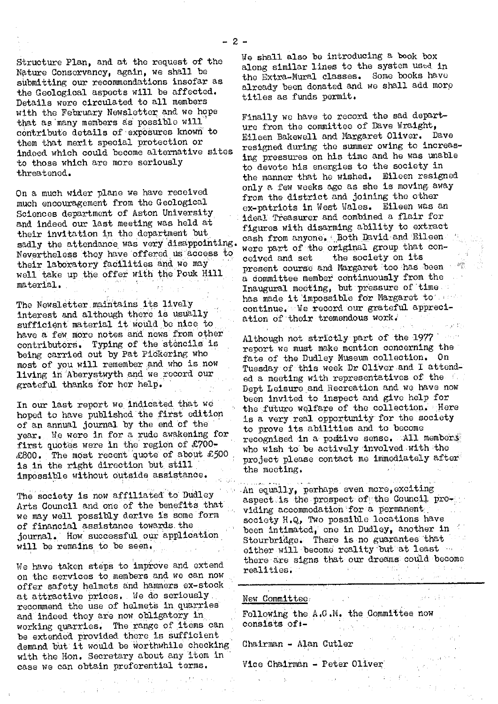Structure Plan, and at the request of the Nature Conservancy, again, we shall be submitting our recommendations insofar as the Geological aspects will be affected. Details were circulated to all members with the February Newsletter and we hope that as many members as possible will contribute details of exposures known to them that merit special protection or indeed which could become alternative sites *to those which are more seriously* threatenod.

On a much wider plane we have received much encouragement from the Geological Sciences department of Aston University and indeed our last meeting was held at their invitation in the department but sadly the attendance was very disappointing. Nevertheless they have offered us access to their laboratory facilities and we may well take up the offer with the Pouk Hill material..

The Newsletter maintains its lively interest and although there is usually sufficient material it would be nice to have a few more notes and news from other contributors. Typing of the stencils is being carried out by Pat Pickering who most of you will remember.and who is. now living in Aberystwyth and we record our grateful thanks for her help.

In our last report we Indicated that we hoped to have published the first edition of an annual journal by the end of the year. We were in for a rude awakening for first quotes were in the region of £700-  $£800.$  The most recent quote of about £500 is in the right direction but still impossible without outside assistance.

The society is now affiliated to Dudley Arts Council and one of the benefits that we may well possibly derive is some form of financial assistance towards. the journal. How successful our 'application will be remains to be seen.

We have taken steps to improve and extend on the services to members and we can now offer safety helmets and hammers ex-stock at attractive prices. We do seriously recommend the use of helmets in quarries and Indeed they are now obligatory in. working quarries. The range of items can be extended. provided there is sufficient demand but it would be worthwhile checking with the Hon. Secretary about any item in case we can obtain preferential terms.

We shall also be introducing a book box along similar lines to the system used in the Extra-Mural classes. Some books have already been donated and we shall add more titles as funds permit.

Finally we have to record the sad departure from the committee of Dave Wraight, Eileen Bakewell and Margaret Oliver. Dave resigned during the summer owing to increasing pressures on his time and he was unable to devote his energies to the society in the manner that he wished. Eileen resigned only a few weeks ago as she is moving away from the district and joining the other ex-patriots in West Wales. Eileen was an ideal Treasurer and combined a flair for figures with disarming ability to extract cash from anyone, Both David and Eileen were part of the original group that conceived and sot the society on its present course and Margaret too has been a committee member continuously from the Inaugural meeting, but pressure of time has made it'impossible for Margaret to' continue. We record our grateful appreciation of their tremendous work.

Although not striotly part of the 1977' report we must make mention concerning the fate of the Dudley Museum collection. On Tuesday of this week Dr Oliver and I attended a meeting with representatives of the  $\ell$ . Dept Leisure and Recreation and we have now been invited to inspect and give help for the future welfare of the collection. Here is a very real opportunity for the society to prove its abilities and to become recognised in a postive sense. All members who wish to be actively involved with the project please contact me immediately after the meeting.

•An equally, perhaps even more, exciting aspect is the prospect of the Council providing accommodation for a permanent society H.Q, Two possible locations have been intimated, one in Dudley, another in Stourbridge. There is no guarantee that either will become reality but at least  $\cdots$ there are signs that our dreams could become  $\frac{1 + 1}{2}$ realities. "

| 이 사진은 이 사진을 위해 보이는 것이 아니다. 이 사진은 아니다. 이 사진이 있어요.<br>New Committee, and a manufacturer of the state of | 그 사람들은 그 사람들은 아이들의 사람들은 아이들의 사람들을 만들어 보고 있다. 이 사람들은 아이들의 사람들은 아이들의 사람들을 만들어 있다. |                                                                                                                                                                                                                             |
|-------------------------------------------------------------------------------------------------------|---------------------------------------------------------------------------------|-----------------------------------------------------------------------------------------------------------------------------------------------------------------------------------------------------------------------------|
| Following the A.G.M. the Committee now<br>consists of:-                                               | and a property of the department of the                                         |                                                                                                                                                                                                                             |
| Chairman - Alan Cutler                                                                                | しゅうしん しゅうしょうけん                                                                  |                                                                                                                                                                                                                             |
| Vice Chairman - Peter Oliver                                                                          |                                                                                 | $\mathbb{P}_{X_{\mathcal{A}}}(\mathcal{F}_{\mathcal{A}}) = \mathbb{P}_{\mathcal{A}}(\mathcal{F}_{\mathcal{A}}) \mathbb{P}_{\mathcal{A}}^{(X_{\mathcal{A}}) \times (X_{\mathcal{A}}) \times (X_{\mathcal{A}})}$<br>医无核菌素 医心脏 |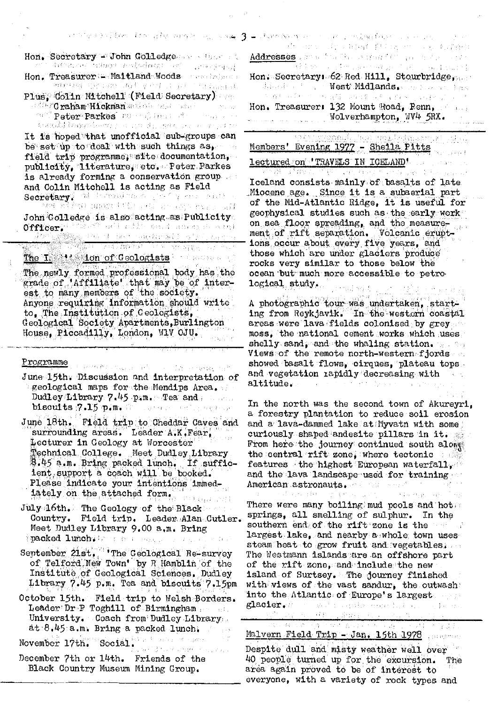| Hon. Secretary - John Golledge<br>mi i Imening Madam maladianti safi - Jesephand                                                                                                                                                                                                                                                                                                                                                                                              | . This condition of the laboration of the property $\beta$ is characteristic in the maximal continuous conditions of the<br>是一般地。 取り過程量 手机 2000 mm (4) 数据有限<br>Addresses and a fraction manufacture of the separate<br><u> Time (</u> † 1986), a se provincia de la facta de la provincia († 1937)                                                                                                                                                                                 |
|-------------------------------------------------------------------------------------------------------------------------------------------------------------------------------------------------------------------------------------------------------------------------------------------------------------------------------------------------------------------------------------------------------------------------------------------------------------------------------|------------------------------------------------------------------------------------------------------------------------------------------------------------------------------------------------------------------------------------------------------------------------------------------------------------------------------------------------------------------------------------------------------------------------------------------------------------------------------------|
| Hon. Treasurer := Maitland Woods were belowed<br>minister the came and your a political bagains.<br>Plus, Golin Mitchell (Field Secretary)                                                                                                                                                                                                                                                                                                                                    | Hon. Secretary: 62 Red Hill, Stourbridge,<br>Wheeler Compete West Midlands. See Figures 1998<br>医脑室中间性 化二硫酸盐 网络维尔德 法特征的 医细胞的 医二乙                                                                                                                                                                                                                                                                                                                                                   |
| and the <b>Craham Hickman</b> section and added the company<br>of Peter Parkes for collect of the contract<br>无规机试算 经在投资银行的合同 人口 计内容表示 网络无言论 人名法意罗克斯特                                                                                                                                                                                                                                                                                                                         | Hon. Treasurer: 132 Mount Road, Renn, Sang<br>Wolverhampton, WV4 5RX.                                                                                                                                                                                                                                                                                                                                                                                                              |
| It is hoped that unofficial sub-groups can<br>be set up to deal with such things as,<br>field trip programme, slite documentation,<br>publicity, literature, etc. Peter Parkes<br>is already forming a conservation group<br>and Colin Mitchell is acting as Field<br>Secretary, at therewise prefix and anti-<br>are sites) anotheleformatic are approximate<br>${\tt John}$ ${\tt Gold}$ edge is also acting as Publicity.<br>Officer, the structure of the sense and space | Sin Cloangh Music mediateles and state<br>Members' Evening 1977 - Sheila Pitts<br><b>lectured on 'TRAVELS IN ICELAND'</b> and the second<br>The World Ward of William Head of Card Law Property of<br>Iceland consists mainly of basalts of late<br>Miocene age. Since it is a subaerial part<br>of the Mid-Atlantic Ridge, it is useful for<br>geophysical studies such as the early work<br>on sea floor spreading, and the measure-<br>ment of rift separation. Volcanic erupt- |
| ikaan kalendari (1999)<br>ISO 1993 (ISO 1994) atteisti oleh mengajajan kalendar<br>The I Mission of Geologists the sea of<br>The newly formed professional body has the<br>grade of 'Affiliate' that may be of inter-<br>est to many members of the society.<br>Anyone requiring information should write                                                                                                                                                                     | ions occur about every five years, and<br>those which are under glaciers produce<br>rocks very similar to those below the<br>ocean but much more accessible to petro.<br>logical study.<br>or mass reading<br>第二月21日 经第三日后                                                                                                                                                                                                                                                         |
| to, The Institution of Geologists,<br>Geological Society Apartments, Burlington<br>House, Piccadilly, London, W1V OJU.                                                                                                                                                                                                                                                                                                                                                        | A photographic tour was undertaken, start-<br>ing from Reykjavik. In the western coastal<br>areas were lava fields colonised by grey<br>moss, the national cement works which uses<br>shelly sand, and the whaling station. We have                                                                                                                                                                                                                                                |
| Programme . Committee and a configuration of the committee of the<br>June 15th. Discussion and interpretation of<br>geological maps for the Mendips Area.<br>Dudley Library 7.45 $p_4$ m. Tea and $p_5$<br>biscuits 7.15 p.m. We have a schements                                                                                                                                                                                                                             | Views of the remote north-western fjords<br>showed basalt flows, cirques, plateau tops.<br>and vegetation rapidly decreasing with<br>and the form of the state of the state of the state of the state of the state of the state of the state of the<br>altitude.<br>In the north was the second town of Akureyri,<br>a forestry plantation to reduce soil erosion                                                                                                                  |
| June 18th. Field trip to Cheddar Caves and<br>surrounding areas. Leader A.K. Fear,<br>Lecturer in Geology at Worcester<br>Technical College. Meet Dudley Library<br>\$.45 a.m. Bring packed lunch. If suffic-<br>ient support a coach will be booked.<br>Please indicate your intentions immed-<br>iately on the attached form, we have a                                                                                                                                     | and a lava-dammed lake at Myvatn with some<br>curiously shaped andesite pillars in it.<br>From here the journey continued south along<br>the central rift zone, where tectonic with<br>features the highest European waterfall, $\mathbb{C}^2$<br>and the lava landscape used for training $\sim$<br>American astronauts, and the second contract the form<br>and and enough the property of the component of the                                                                  |
| $\texttt{July 46th.}$ The Geology of the Black $\sim$<br>Country. Field trip. Leader Alan Cutler.<br>Meet Dudley Library 9.00 a.m. Bring<br><b>packed lunch:</b> Free and assessment and a fact                                                                                                                                                                                                                                                                               | There were many boiling mud pools and hot.<br>springs, all smelling of sulphur. In the<br>southern end of the rift zone is the<br>largest lake, and nearby a whole town uses                                                                                                                                                                                                                                                                                                       |
| September 21st. The Geological Re-survey<br>of Telford New Town' by R Hamblin of the<br>Institute of Geological Sciences, Dudley<br>Library 7.45 p.m. Tea and biscuits 7.15pm                                                                                                                                                                                                                                                                                                 | steam heat to grow fruit and vegetables.<br>The Westmann islands are an offshore part<br>of the rift zone, and include the new<br>island of Surtsey. The journey finished<br>with views of the vast sandur, the outwash                                                                                                                                                                                                                                                            |
| October 15th. Field trip to Welsh Borders.<br>Leader Dr-P Toghill of Birmingham<br>University. Coach from Dudley Library<br>at 8.45 a.m. Bring a packed lunch, Allen                                                                                                                                                                                                                                                                                                          | into the Atlantic of Europe's largest<br>glacier. The said service is a server of the sea<br><u> 2015 - 2016 - Amerikan Kestingti, ma</u><br>网络麻木属 计实时编程序 医原源 人名英格兰德英                                                                                                                                                                                                                                                                                                              |
| November 17th. Social.                                                                                                                                                                                                                                                                                                                                                                                                                                                        | Malvern Field Trip -Jan. 15th 1978 program                                                                                                                                                                                                                                                                                                                                                                                                                                         |
| The verify them attend to constant<br>December 7th or 14th. Friends of the<br>Black Country Museum Mining Group.                                                                                                                                                                                                                                                                                                                                                              | Despite dull and misty weather well over<br>40 people turned up for the excursion.<br>The<br>area again proved to be of interest to<br>everyone, with a variety of rock types and                                                                                                                                                                                                                                                                                                  |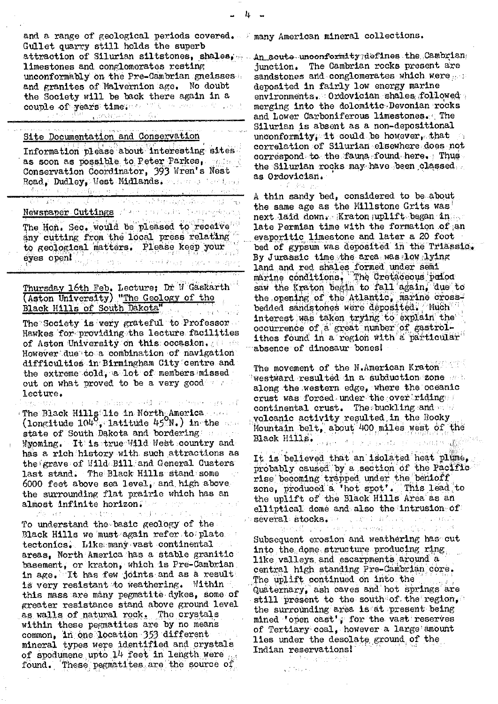and a range of geological periods covered.  $\mathbb{F}_n$  many American mineral collections. Gullet quarry still holds the superb attraction of Silurian siltstones, shales, An acute unoonformity7defines the Cambrian limestones and conglomerates resting; unconformably on the Pre-Cambrian gneisses and granites of Malvernion age. No doubt the Society will be back there again in a couple of years time. The service construction of

## Site Documentation and Conservation

| Information please about interesting sites.<br>as soon as possible to Peter Parkes, materia                                                                    |  |  |
|----------------------------------------------------------------------------------------------------------------------------------------------------------------|--|--|
| Conservation Coordinator, 393 Wren's Nest<br>Road, Dudley, West Midlands. The second head                                                                      |  |  |
| h vojne dre ruske pri predstavlja i predstavlja predst<br>RATIONER ET A TENNIS MARINAN MEDICI                                                                  |  |  |
| Newspaper Cuttings from the last Temperature<br>ili – visto en la domina de la la segunda de la provincia de la provincia de la provincia de la provincia de l |  |  |

The Hon. Sec. would be pleased to receive' any cutting from the local press relating to geological matters. Please keep your eyes open! .<br>Titul merk kryst i lyngrum in styrem a<br>Baba

Thursday 16th Feb. Lecture; Dr W Gaskarth (Aston University) "The Geology of the Black Hills of South Dakota"

The Society is very grateful to Professor. Hawkes for providing the lecture facilities of Aston University on this: occasion. Howover'.due'ito a combination of navigation`. difficulties in Birmingham City centre and the extreme cold, a lot of members missed out on what proved to be a very good with lecture.

an Birmon add not please an of The Black Hills lie in North America  $\text{(longitude 104\%, 111)}$  in the state of South Dakota and bordering and a Myoming. It is true Wild West country and has a rich history with such attractions as the grave of Wild Bill and General Custers last stand. The Black Hills stand some  $6000$  feet above sea level, and high above the surrounding flat prairie which has an almost infinite horizon: .

To understand the basic geology of the Black Hills we must again refer to plate. tectonics. Like many vast continental areas, North America has a stable granitic basement, or'kraton, which is Pre-Cambrian. in age. It has few joints and as a result is very resistant to weathering. Within this mass are many pegmatite dykes, some of greater resistance stand above ground level as walls of natural rock. The crystals within these pegmatites are by no means common, in one location *353* different mineral types were identified and crystals of spodumene upto 14 feet in length were found. These pegmatites are the source of

junction. The Cambrian rocks present are sandstones and conglomerates which were deposited in fairly low energy marine environments. Ordovician shales followed. merging into the dolomitic Devonian rocks and Lower Carboniferous limestones. The Silurian is absent as a nor-depositional unconformity, it could be however, that correlation of Silurian elsewhere ,does not correspond to the fauna found here. Thus the Silurian rocks may have been classed; as Ordovician.

A thin sandy bed, considered to be about the same age as the Millstone Grits was  $next$  laid down. Kraton  $\text{uplift}$  began in . late Permian time with the formation of an evaporitic limestone and later a 20 foot bed of gypsum was deposited in the Triassic. By Jurassic time the area was low lying land and red shales formed under semi<br>marine conditions, The Cretaceous pelod saw the Kraton begin to fall again, due to the opening of the Atlantic, marine crossbedded sandstones were deposited. Much interest was taken trying to explain the occurrence of a great number of gastrolithes found in a region with a particular absence of dinosaur bones!

The movement of the N.American Kraton westward resulted in a subduction zone and along the western edge, where the oceanic crust was forced under the over riding. continental crust. The buckling and  $\sim$ volcanic activity resulted, in the Rocky Mountain belt, about 400 miles west of the Black Hills. We have a series of considerable

It is believed that an isolated heat plume, probably caused by a section of the Pacific rise becoming trapped under the benioff zone, produced a 'hot spot'. This lead to the uplift of the Black Hills Area" as an elliptical dome and also the intrusion of séveral stocks. En la de l'abord de l'abord.<br>Service l'abord de l'abord de l'abord de l'abord de l'abord de l'abord de l'abord de l'abord de l'abord de l'a

Subsequent erosion and weathering has cut into the dome structure producing ring. like valleys and escarpments around a central high standing Pre-Cambrian core. The uplift continued on Into the Quaternary, ash caves and hot springs are still present to the south of the region, the surrounding area is at present being mined 'open cast', for the vast reserves of Tertiary coal, however a large amount lies under the desolate ground of the Indian reservations!

**Conference**